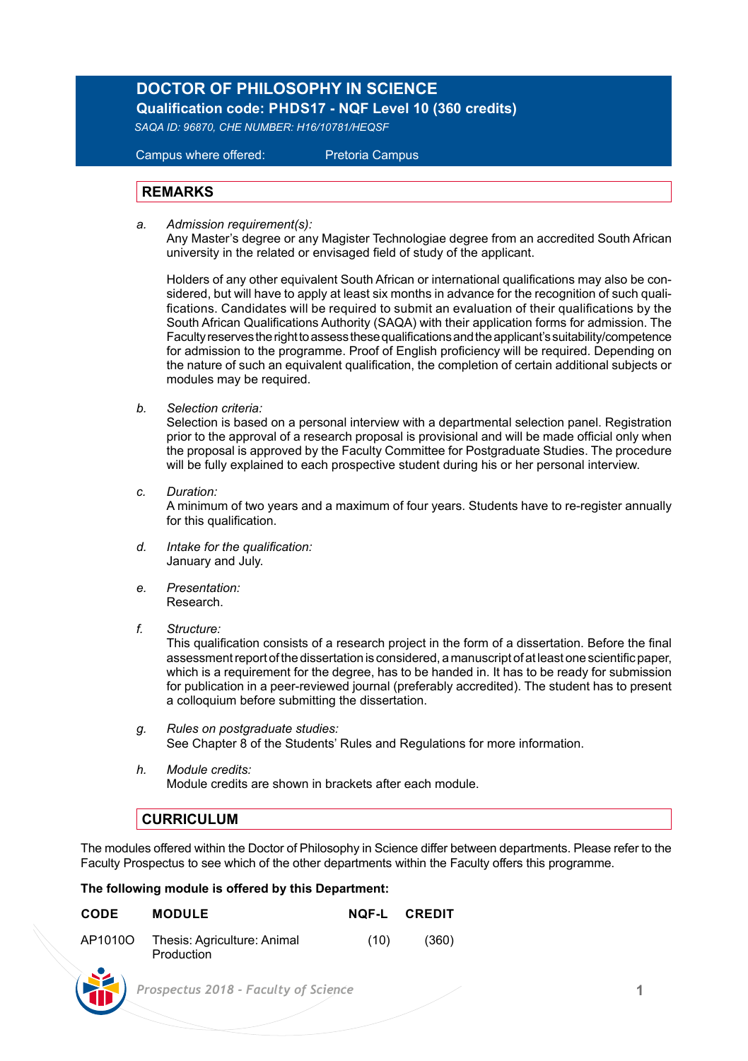## **DOCTOR OF PHILOSOPHY IN SCIENCE**

 **Qualification code: PHDS17 - NQF Level 10 (360 credits)**

*SAQA ID: 96870, CHE NUMBER: H16/10781/HEQSF*

Campus where offered: Pretoria Campus

## **REMARKS**

*a. Admission requirement(s):* 

 Any Master's degree or any Magister Technologiae degree from an accredited South African university in the related or envisaged field of study of the applicant.

 Holders of any other equivalent South African or international qualifications may also be con sidered, but will have to apply at least six months in advance for the recognition of such quali fications. Candidates will be required to submit an evaluation of their qualifications by the South African Qualifications Authority (SAQA) with their application forms for admission. The Faculty reserves the right to assess these qualifications and the applicant's suitability/competence for admission to the programme. Proof of English proficiency will be required. Depending on the nature of such an equivalent qualification, the completion of certain additional subjects or modules may be required.

*b. Selection criteria:*

Selection is based on a personal interview with a departmental selection panel. Registration prior to the approval of a research proposal is provisional and will be made official only when the proposal is approved by the Faculty Committee for Postgraduate Studies. The procedure will be fully explained to each prospective student during his or her personal interview.

*c. Duration:*

A minimum of two years and a maximum of four years. Students have to re-register annually for this qualification.

- *d. Intake for the qualification:* January and July.
- *e. Presentation:*  Research.
- *f. Structure:*

This qualification consists of a research project in the form of a dissertation. Before the final assessment report of the dissertation is considered, a manuscript of at least one scientific paper, which is a requirement for the degree, has to be handed in. It has to be ready for submission for publication in a peer-reviewed journal (preferably accredited). The student has to present a colloquium before submitting the dissertation.

- *g. Rules on postgraduate studies:* See Chapter 8 of the Students' Rules and Regulations for more information.
- *h. Module credits:* Module credits are shown in brackets after each module.

## **CURRICULUM**

W

The modules offered within the Doctor of Philosophy in Science differ between departments. Please refer to the Faculty Prospectus to see which of the other departments within the Faculty offers this programme.

## **The following module is offered by this Department:**

| CODE    | <b>MODULE</b>                             | NOF-L | <b>CREDIT</b> |  |
|---------|-------------------------------------------|-------|---------------|--|
| AP1010O | Thesis: Agriculture: Animal<br>Production | (10)  | (360)         |  |
|         | Prospectus 2018 - Faculty of Science      |       |               |  |